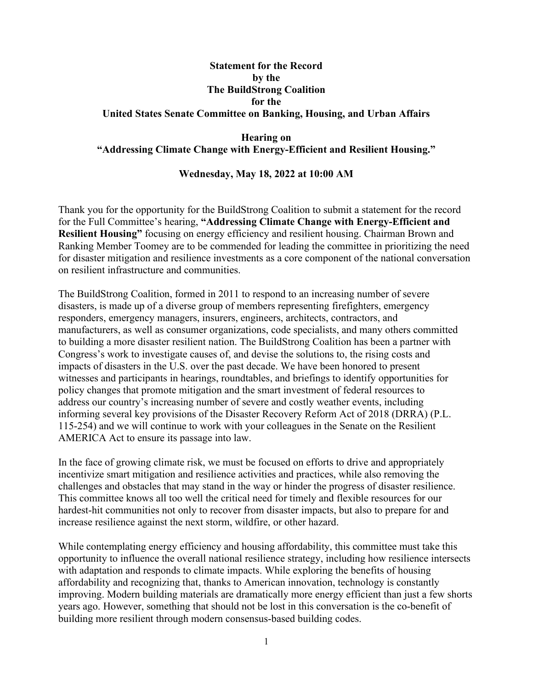# **Statement for the Record by the The BuildStrong Coalition for the United States Senate Committee on Banking, Housing, and Urban Affairs**

#### **Hearing on "Addressing Climate Change with Energy-Efficient and Resilient Housing."**

#### **Wednesday, May 18, 2022 at 10:00 AM**

Thank you for the opportunity for the BuildStrong Coalition to submit a statement for the record for the Full Committee's hearing, **"Addressing Climate Change with Energy-Efficient and Resilient Housing"** focusing on energy efficiency and resilient housing. Chairman Brown and Ranking Member Toomey are to be commended for leading the committee in prioritizing the need for disaster mitigation and resilience investments as a core component of the national conversation on resilient infrastructure and communities.

The BuildStrong Coalition, formed in 2011 to respond to an increasing number of severe disasters, is made up of a diverse group of members representing firefighters, emergency responders, emergency managers, insurers, engineers, architects, contractors, and manufacturers, as well as consumer organizations, code specialists, and many others committed to building a more disaster resilient nation. The BuildStrong Coalition has been a partner with Congress's work to investigate causes of, and devise the solutions to, the rising costs and impacts of disasters in the U.S. over the past decade. We have been honored to present witnesses and participants in hearings, roundtables, and briefings to identify opportunities for policy changes that promote mitigation and the smart investment of federal resources to address our country's increasing number of severe and costly weather events, including informing several key provisions of the Disaster Recovery Reform Act of 2018 (DRRA) (P.L. 115-254) and we will continue to work with your colleagues in the Senate on the Resilient AMERICA Act to ensure its passage into law.

In the face of growing climate risk, we must be focused on efforts to drive and appropriately incentivize smart mitigation and resilience activities and practices, while also removing the challenges and obstacles that may stand in the way or hinder the progress of disaster resilience. This committee knows all too well the critical need for timely and flexible resources for our hardest-hit communities not only to recover from disaster impacts, but also to prepare for and increase resilience against the next storm, wildfire, or other hazard.

While contemplating energy efficiency and housing affordability, this committee must take this opportunity to influence the overall national resilience strategy, including how resilience intersects with adaptation and responds to climate impacts. While exploring the benefits of housing affordability and recognizing that, thanks to American innovation, technology is constantly improving. Modern building materials are dramatically more energy efficient than just a few shorts years ago. However, something that should not be lost in this conversation is the co-benefit of building more resilient through modern consensus-based building codes.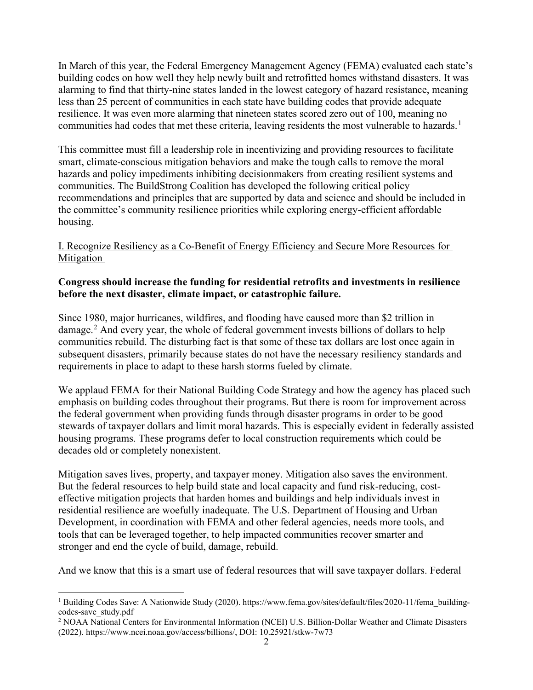In March of this year, the Federal Emergency Management Agency (FEMA) evaluated each state's building codes on how well they help newly built and retrofitted homes withstand disasters. It was alarming to find that thirty-nine states landed in the lowest category of hazard resistance, meaning less than 25 percent of communities in each state have building codes that provide adequate resilience. It was even more alarming that nineteen states scored zero out of 100, meaning no communities had codes that met these criteria, leaving residents the most vulnerable to hazards.<sup>[1](#page-1-0)</sup>

This committee must fill a leadership role in incentivizing and providing resources to facilitate smart, climate-conscious mitigation behaviors and make the tough calls to remove the moral hazards and policy impediments inhibiting decisionmakers from creating resilient systems and communities. The BuildStrong Coalition has developed the following critical policy recommendations and principles that are supported by data and science and should be included in the committee's community resilience priorities while exploring energy-efficient affordable housing.

# I. Recognize Resiliency as a Co-Benefit of Energy Efficiency and Secure More Resources for **Mitigation**

### **Congress should increase the funding for residential retrofits and investments in resilience before the next disaster, climate impact, or catastrophic failure.**

Since 1980, major hurricanes, wildfires, and flooding have caused more than \$2 trillion in damage.<sup>[2](#page-1-1)</sup> And every year, the whole of federal government invests billions of dollars to help communities rebuild. The disturbing fact is that some of these tax dollars are lost once again in subsequent disasters, primarily because states do not have the necessary resiliency standards and requirements in place to adapt to these harsh storms fueled by climate.

We applaud FEMA for their National Building Code Strategy and how the agency has placed such emphasis on building codes throughout their programs. But there is room for improvement across the federal government when providing funds through disaster programs in order to be good stewards of taxpayer dollars and limit moral hazards. This is especially evident in federally assisted housing programs. These programs defer to local construction requirements which could be decades old or completely nonexistent.

Mitigation saves lives, property, and taxpayer money. Mitigation also saves the environment. But the federal resources to help build state and local capacity and fund risk-reducing, costeffective mitigation projects that harden homes and buildings and help individuals invest in residential resilience are woefully inadequate. The U.S. Department of Housing and Urban Development, in coordination with FEMA and other federal agencies, needs more tools, and tools that can be leveraged together, to help impacted communities recover smarter and stronger and end the cycle of build, damage, rebuild.

And we know that this is a smart use of federal resources that will save taxpayer dollars. Federal

<span id="page-1-0"></span><sup>&</sup>lt;sup>1</sup> Building Codes Save: A Nationwide Study (2020). https://www.fema.gov/sites/default/files/2020-11/fema\_buildingcodes-save\_study.pdf

<span id="page-1-1"></span><sup>2</sup> NOAA National Centers for Environmental Information (NCEI) U.S. Billion-Dollar Weather and Climate Disasters (2022). https://www.ncei.noaa.gov/access/billions/, DOI: 10.25921/stkw-7w73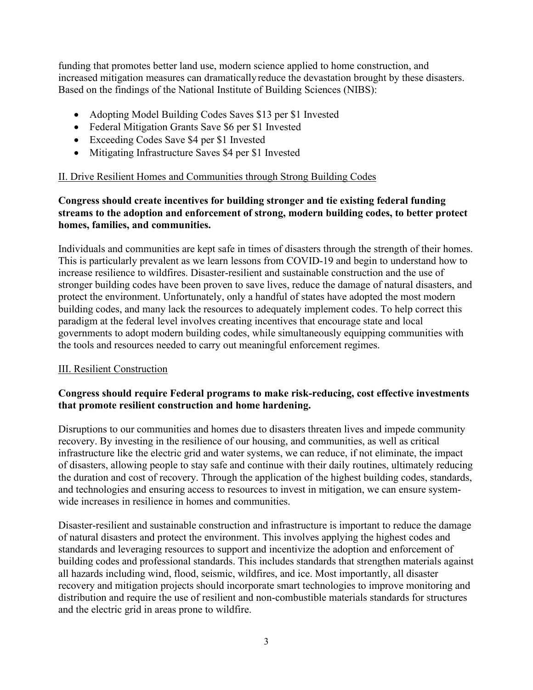funding that promotes better land use, modern science applied to home construction, and increased mitigation measures can dramaticallyreduce the devastation brought by these disasters. Based on the findings of the National Institute of Building Sciences (NIBS):

- Adopting Model Building Codes Saves \$13 per \$1 Invested
- Federal Mitigation Grants Save \$6 per \$1 Invested
- Exceeding Codes Save \$4 per \$1 Invested
- Mitigating Infrastructure Saves \$4 per \$1 Invested

### II. Drive Resilient Homes and Communities through Strong Building Codes

# **Congress should create incentives for building stronger and tie existing federal funding streams to the adoption and enforcement of strong, modern building codes, to better protect homes, families, and communities.**

Individuals and communities are kept safe in times of disasters through the strength of their homes. This is particularly prevalent as we learn lessons from COVID-19 and begin to understand how to increase resilience to wildfires. Disaster-resilient and sustainable construction and the use of stronger building codes have been proven to save lives, reduce the damage of natural disasters, and protect the environment. Unfortunately, only a handful of states have adopted the most modern building codes, and many lack the resources to adequately implement codes. To help correct this paradigm at the federal level involves creating incentives that encourage state and local governments to adopt modern building codes, while simultaneously equipping communities with the tools and resources needed to carry out meaningful enforcement regimes.

# III. Resilient Construction

# **Congress should require Federal programs to make risk-reducing, cost effective investments that promote resilient construction and home hardening.**

Disruptions to our communities and homes due to disasters threaten lives and impede community recovery. By investing in the resilience of our housing, and communities, as well as critical infrastructure like the electric grid and water systems, we can reduce, if not eliminate, the impact of disasters, allowing people to stay safe and continue with their daily routines, ultimately reducing the duration and cost of recovery. Through the application of the highest building codes, standards, and technologies and ensuring access to resources to invest in mitigation, we can ensure systemwide increases in resilience in homes and communities.

Disaster-resilient and sustainable construction and infrastructure is important to reduce the damage of natural disasters and protect the environment. This involves applying the highest codes and standards and leveraging resources to support and incentivize the adoption and enforcement of building codes and professional standards. This includes standards that strengthen materials against all hazards including wind, flood, seismic, wildfires, and ice. Most importantly, all disaster recovery and mitigation projects should incorporate smart technologies to improve monitoring and distribution and require the use of resilient and non-combustible materials standards for structures and the electric grid in areas prone to wildfire.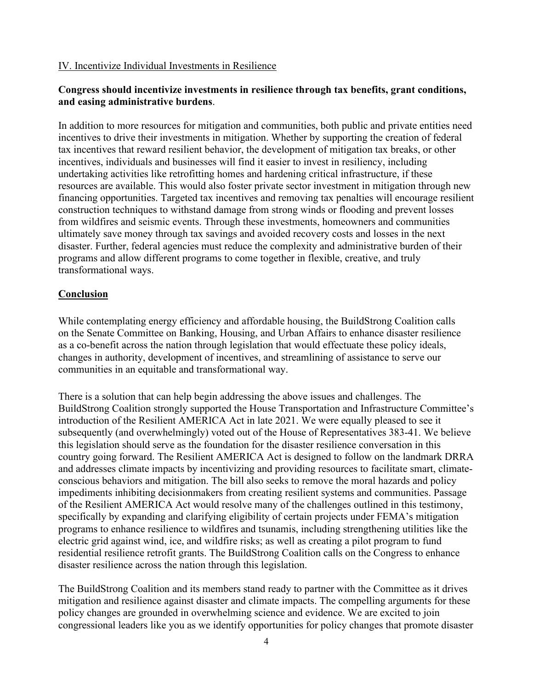#### IV. Incentivize Individual Investments in Resilience

### **Congress should incentivize investments in resilience through tax benefits, grant conditions, and easing administrative burdens**.

In addition to more resources for mitigation and communities, both public and private entities need incentives to drive their investments in mitigation. Whether by supporting the creation of federal tax incentives that reward resilient behavior, the development of mitigation tax breaks, or other incentives, individuals and businesses will find it easier to invest in resiliency, including undertaking activities like retrofitting homes and hardening critical infrastructure, if these resources are available. This would also foster private sector investment in mitigation through new financing opportunities. Targeted tax incentives and removing tax penalties will encourage resilient construction techniques to withstand damage from strong winds or flooding and prevent losses from wildfires and seismic events. Through these investments, homeowners and communities ultimately save money through tax savings and avoided recovery costs and losses in the next disaster. Further, federal agencies must reduce the complexity and administrative burden of their programs and allow different programs to come together in flexible, creative, and truly transformational ways.

#### **Conclusion**

While contemplating energy efficiency and affordable housing, the BuildStrong Coalition calls on the Senate Committee on Banking, Housing, and Urban Affairs to enhance disaster resilience as a co-benefit across the nation through legislation that would effectuate these policy ideals, changes in authority, development of incentives, and streamlining of assistance to serve our communities in an equitable and transformational way.

There is a solution that can help begin addressing the above issues and challenges. The BuildStrong Coalition strongly supported the House Transportation and Infrastructure Committee's introduction of the Resilient AMERICA Act in late 2021. We were equally pleased to see it subsequently (and overwhelmingly) voted out of the House of Representatives 383-41. We believe this legislation should serve as the foundation for the disaster resilience conversation in this country going forward. The Resilient AMERICA Act is designed to follow on the landmark DRRA and addresses climate impacts by incentivizing and providing resources to facilitate smart, climateconscious behaviors and mitigation. The bill also seeks to remove the moral hazards and policy impediments inhibiting decisionmakers from creating resilient systems and communities. Passage of the Resilient AMERICA Act would resolve many of the challenges outlined in this testimony, specifically by expanding and clarifying eligibility of certain projects under FEMA's mitigation programs to enhance resilience to wildfires and tsunamis, including strengthening utilities like the electric grid against wind, ice, and wildfire risks; as well as creating a pilot program to fund residential resilience retrofit grants. The BuildStrong Coalition calls on the Congress to enhance disaster resilience across the nation through this legislation.

The BuildStrong Coalition and its members stand ready to partner with the Committee as it drives mitigation and resilience against disaster and climate impacts. The compelling arguments for these policy changes are grounded in overwhelming science and evidence. We are excited to join congressional leaders like you as we identify opportunities for policy changes that promote disaster